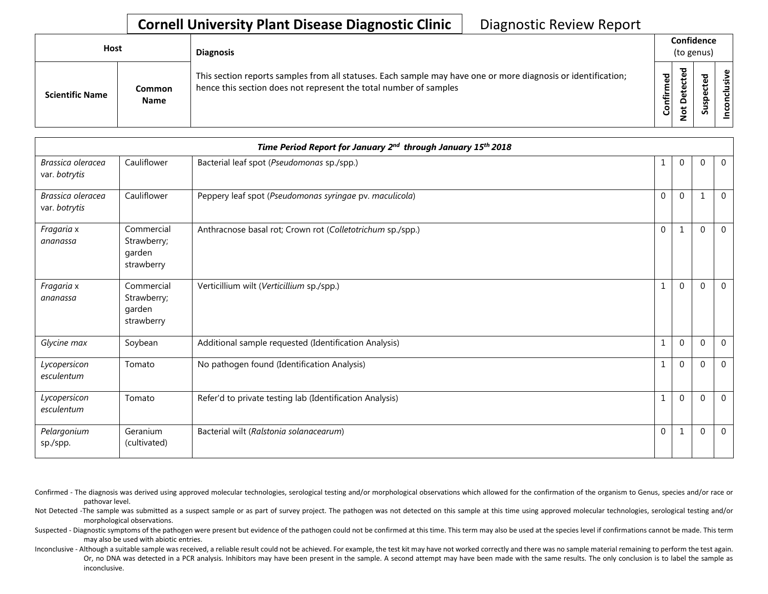## **Cornell University Plant Disease Diagnostic Clinic** | Diagnostic Review Report

| <b>Host</b>            |                       | <b>Diagnosis</b>                                                                                                                                                                   |                        | Confidence<br>(to genus)                  |                          |          |  |  |
|------------------------|-----------------------|------------------------------------------------------------------------------------------------------------------------------------------------------------------------------------|------------------------|-------------------------------------------|--------------------------|----------|--|--|
| <b>Scientific Name</b> | Common<br><b>Name</b> | This section reports samples from all statuses. Each sample may have one or more diagnosis or identification;<br>hence this section does not represent the total number of samples | ਠ<br>Ō<br>Ē<br>Confiri | ᇃ<br>ڢ<br>ن<br>ق<br>Φ<br>c<br>پ<br>Ö<br>- | ᇃ<br>∾<br>S<br><u>ທັ</u> | ഄ<br>siy |  |  |

| Time Period Report for January 2nd through January 15th 2018 |                                                   |                                                            |              |              |              |                |
|--------------------------------------------------------------|---------------------------------------------------|------------------------------------------------------------|--------------|--------------|--------------|----------------|
| Brassica oleracea<br>var. botrytis                           | Cauliflower                                       | Bacterial leaf spot (Pseudomonas sp./spp.)                 |              | $\mathbf 0$  | $\Omega$     | $\overline{0}$ |
| Brassica oleracea<br>var. botrytis                           | Cauliflower                                       | Peppery leaf spot (Pseudomonas syringae pv. maculicola)    | $\mathbf 0$  | $\mathbf{0}$ | $\mathbf{1}$ | $\mathbf 0$    |
| Fragaria x<br>ananassa                                       | Commercial<br>Strawberry;<br>garden<br>strawberry | Anthracnose basal rot; Crown rot (Colletotrichum sp./spp.) | $\mathbf{0}$ | 1            | $\Omega$     | $\mathbf 0$    |
| Fragaria x<br>ananassa                                       | Commercial<br>Strawberry;<br>garden<br>strawberry | Verticillium wilt (Verticillium sp./spp.)                  | 1            | $\mathbf{0}$ | $\Omega$     | $\overline{0}$ |
| Glycine max                                                  | Soybean                                           | Additional sample requested (Identification Analysis)      | 1            | $\mathbf{0}$ | $\Omega$     | $\mathbf 0$    |
| Lycopersicon<br>esculentum                                   | Tomato                                            | No pathogen found (Identification Analysis)                | 1            | $\mathbf{0}$ | $\Omega$     | $\mathbf{0}$   |
| Lycopersicon<br>esculentum                                   | Tomato                                            | Refer'd to private testing lab (Identification Analysis)   | 1            | $\Omega$     | $\Omega$     | $\mathbf 0$    |
| Pelargonium<br>sp./spp.                                      | Geranium<br>(cultivated)                          | Bacterial wilt (Ralstonia solanacearum)                    | $\mathbf{0}$ | 1            | $\Omega$     | $\overline{0}$ |

Confirmed - The diagnosis was derived using approved molecular technologies, serological testing and/or morphological observations which allowed for the confirmation of the organism to Genus, species and/or race or pathovar level.

Not Detected -The sample was submitted as a suspect sample or as part of survey project. The pathogen was not detected on this sample at this time using approved molecular technologies, serological testing and/or morphological observations.

Suspected - Diagnostic symptoms of the pathogen were present but evidence of the pathogen could not be confirmed at this time. This term may also be used at the species level if confirmations cannot be made. This term may also be used with abiotic entries.

Inconclusive - Although a suitable sample was received, a reliable result could not be achieved. For example, the test kit may have not worked correctly and there was no sample material remaining to perform the test again. Or, no DNA was detected in a PCR analysis. Inhibitors may have been present in the sample. A second attempt may have been made with the same results. The only conclusion is to label the sample as inconclusive.